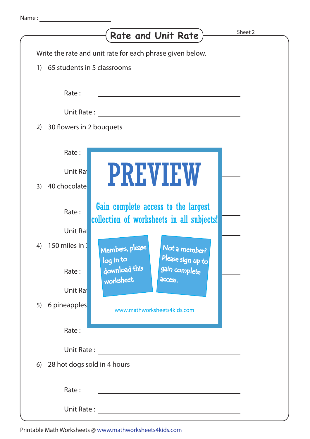|                                                             | <b>Rate and Unit Rate</b>                                                                                       | Sheet 2 |
|-------------------------------------------------------------|-----------------------------------------------------------------------------------------------------------------|---------|
|                                                             | Write the rate and unit rate for each phrase given below.                                                       |         |
| 65 students in 5 classrooms<br>$\left( \frac{1}{2} \right)$ |                                                                                                                 |         |
| Rate:                                                       |                                                                                                                 |         |
| Unit Rate:                                                  |                                                                                                                 |         |
| 30 flowers in 2 bouquets<br>2)                              |                                                                                                                 |         |
| Rate:<br>Unit Ra<br>40 chocolate<br>3)                      | <b>PREVIEW</b>                                                                                                  |         |
| Rate:<br>Unit Ra                                            | Gain complete access to the largest<br>collection of worksheets in all subjects!                                |         |
| 150 miles in :<br>4)<br>Rate:                               | Members, please<br>Not a member?<br>Please sign up to<br>log in to<br>download this<br>gain complete<br>access. |         |
| Unit Ra                                                     | worksheet.                                                                                                      |         |
| 6 pineapples<br>5)                                          | www.mathworksheets4kids.com                                                                                     |         |
| Rate:                                                       |                                                                                                                 |         |
| Unit Rate:                                                  |                                                                                                                 |         |
| 28 hot dogs sold in 4 hours<br>6)                           |                                                                                                                 |         |
| Rate:                                                       |                                                                                                                 |         |
| Unit Rate:                                                  |                                                                                                                 |         |